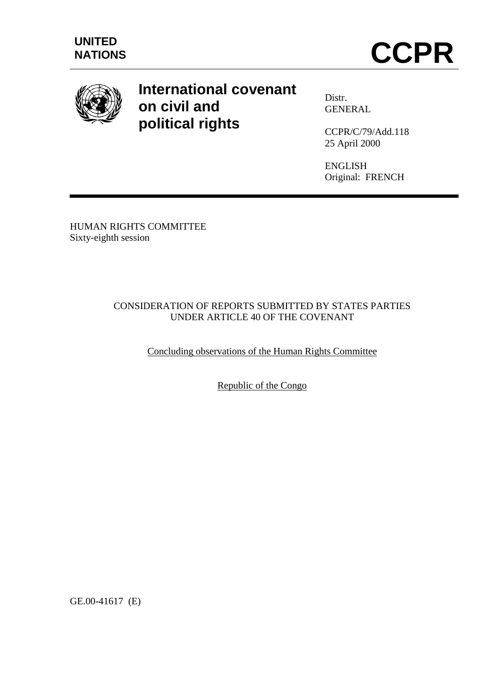

# **International covenant on civil and political rights**

Distr. **GENERAL** 

CCPR/C/79/Add.118 25 April 2000

ENGLISH Original: FRENCH

HUMAN RIGHTS COMMITTEE Sixty-eighth session

## CONSIDERATION OF REPORTS SUBMITTED BY STATES PARTIES UNDER ARTICLE 40 OF THE COVENANT

Concluding observations of the Human Rights Committee

Republic of the Congo

GE.00-41617 (E)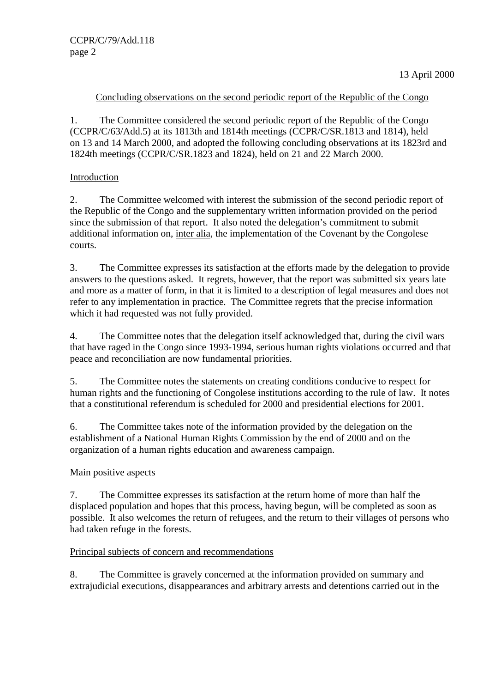## Concluding observations on the second periodic report of the Republic of the Congo

1. The Committee considered the second periodic report of the Republic of the Congo (CCPR/C/63/Add.5) at its 1813th and 1814th meetings (CCPR/C/SR.1813 and 1814), held on 13 and 14 March 2000, and adopted the following concluding observations at its 1823rd and 1824th meetings (CCPR/C/SR.1823 and 1824), held on 21 and 22 March 2000.

## Introduction

2. The Committee welcomed with interest the submission of the second periodic report of the Republic of the Congo and the supplementary written information provided on the period since the submission of that report. It also noted the delegation's commitment to submit additional information on, inter alia, the implementation of the Covenant by the Congolese courts.

3. The Committee expresses its satisfaction at the efforts made by the delegation to provide answers to the questions asked. It regrets, however, that the report was submitted six years late and more as a matter of form, in that it is limited to a description of legal measures and does not refer to any implementation in practice. The Committee regrets that the precise information which it had requested was not fully provided.

4. The Committee notes that the delegation itself acknowledged that, during the civil wars that have raged in the Congo since 1993-1994, serious human rights violations occurred and that peace and reconciliation are now fundamental priorities.

5. The Committee notes the statements on creating conditions conducive to respect for human rights and the functioning of Congolese institutions according to the rule of law. It notes that a constitutional referendum is scheduled for 2000 and presidential elections for 2001.

6. The Committee takes note of the information provided by the delegation on the establishment of a National Human Rights Commission by the end of 2000 and on the organization of a human rights education and awareness campaign.

## Main positive aspects

7. The Committee expresses its satisfaction at the return home of more than half the displaced population and hopes that this process, having begun, will be completed as soon as possible. It also welcomes the return of refugees, and the return to their villages of persons who had taken refuge in the forests.

#### Principal subjects of concern and recommendations

8. The Committee is gravely concerned at the information provided on summary and extrajudicial executions, disappearances and arbitrary arrests and detentions carried out in the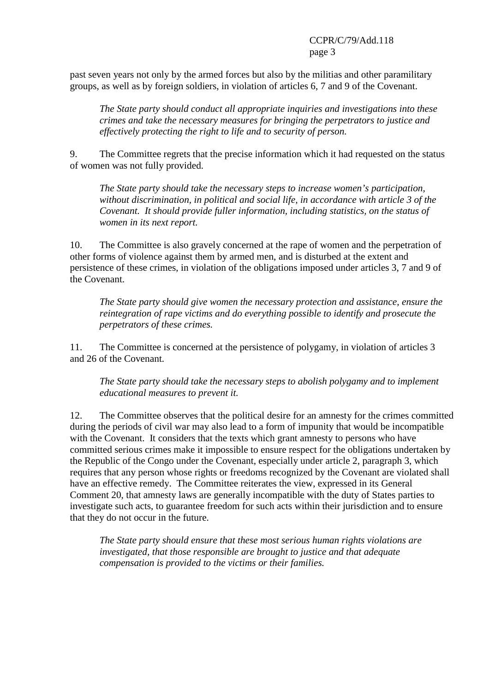#### CCPR/C/79/Add.118 page 3

past seven years not only by the armed forces but also by the militias and other paramilitary groups, as well as by foreign soldiers, in violation of articles 6, 7 and 9 of the Covenant.

*The State party should conduct all appropriate inquiries and investigations into these crimes and take the necessary measures for bringing the perpetrators to justice and effectively protecting the right to life and to security of person.*

9. The Committee regrets that the precise information which it had requested on the status of women was not fully provided.

*The State party should take the necessary steps to increase women's participation, without discrimination, in political and social life, in accordance with article 3 of the Covenant. It should provide fuller information, including statistics, on the status of women in its next report.*

10. The Committee is also gravely concerned at the rape of women and the perpetration of other forms of violence against them by armed men, and is disturbed at the extent and persistence of these crimes, in violation of the obligations imposed under articles 3, 7 and 9 of the Covenant.

*The State party should give women the necessary protection and assistance, ensure the reintegration of rape victims and do everything possible to identify and prosecute the perpetrators of these crimes.*

11. The Committee is concerned at the persistence of polygamy, in violation of articles 3 and 26 of the Covenant.

*The State party should take the necessary steps to abolish polygamy and to implement educational measures to prevent it.*

12. The Committee observes that the political desire for an amnesty for the crimes committed during the periods of civil war may also lead to a form of impunity that would be incompatible with the Covenant. It considers that the texts which grant amnesty to persons who have committed serious crimes make it impossible to ensure respect for the obligations undertaken by the Republic of the Congo under the Covenant, especially under article 2, paragraph 3, which requires that any person whose rights or freedoms recognized by the Covenant are violated shall have an effective remedy. The Committee reiterates the view, expressed in its General Comment 20, that amnesty laws are generally incompatible with the duty of States parties to investigate such acts, to guarantee freedom for such acts within their jurisdiction and to ensure that they do not occur in the future.

*The State party should ensure that these most serious human rights violations are investigated, that those responsible are brought to justice and that adequate compensation is provided to the victims or their families.*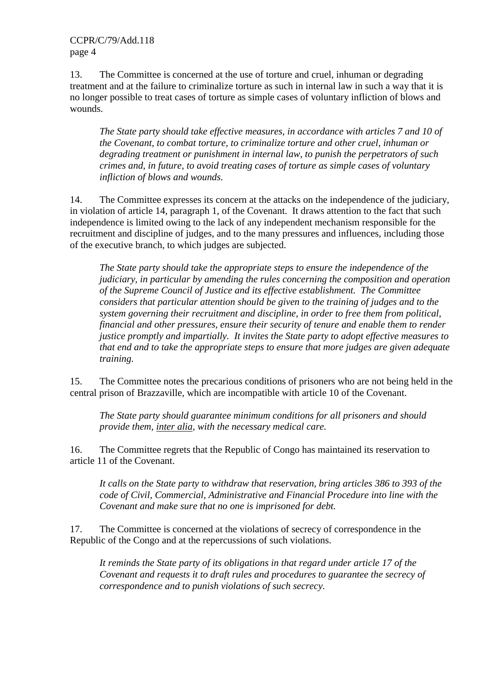CCPR/C/79/Add.118 page 4

13. The Committee is concerned at the use of torture and cruel, inhuman or degrading treatment and at the failure to criminalize torture as such in internal law in such a way that it is no longer possible to treat cases of torture as simple cases of voluntary infliction of blows and wounds.

*The State party should take effective measures, in accordance with articles 7 and 10 of the Covenant, to combat torture, to criminalize torture and other cruel, inhuman or degrading treatment or punishment in internal law, to punish the perpetrators of such crimes and, in future, to avoid treating cases of torture as simple cases of voluntary infliction of blows and wounds.*

14. The Committee expresses its concern at the attacks on the independence of the judiciary, in violation of article 14, paragraph 1, of the Covenant. It draws attention to the fact that such independence is limited owing to the lack of any independent mechanism responsible for the recruitment and discipline of judges, and to the many pressures and influences, including those of the executive branch, to which judges are subjected.

*The State party should take the appropriate steps to ensure the independence of the judiciary, in particular by amending the rules concerning the composition and operation of the Supreme Council of Justice and its effective establishment. The Committee considers that particular attention should be given to the training of judges and to the system governing their recruitment and discipline, in order to free them from political, financial and other pressures, ensure their security of tenure and enable them to render justice promptly and impartially. It invites the State party to adopt effective measures to that end and to take the appropriate steps to ensure that more judges are given adequate training.*

15. The Committee notes the precarious conditions of prisoners who are not being held in the central prison of Brazzaville, which are incompatible with article 10 of the Covenant.

*The State party should guarantee minimum conditions for all prisoners and should provide them, inter alia, with the necessary medical care.*

16. The Committee regrets that the Republic of Congo has maintained its reservation to article 11 of the Covenant.

*It calls on the State party to withdraw that reservation, bring articles 386 to 393 of the code of Civil, Commercial, Administrative and Financial Procedure into line with the Covenant and make sure that no one is imprisoned for debt.*

17. The Committee is concerned at the violations of secrecy of correspondence in the Republic of the Congo and at the repercussions of such violations.

*It reminds the State party of its obligations in that regard under article 17 of the Covenant and requests it to draft rules and procedures to guarantee the secrecy of correspondence and to punish violations of such secrecy.*